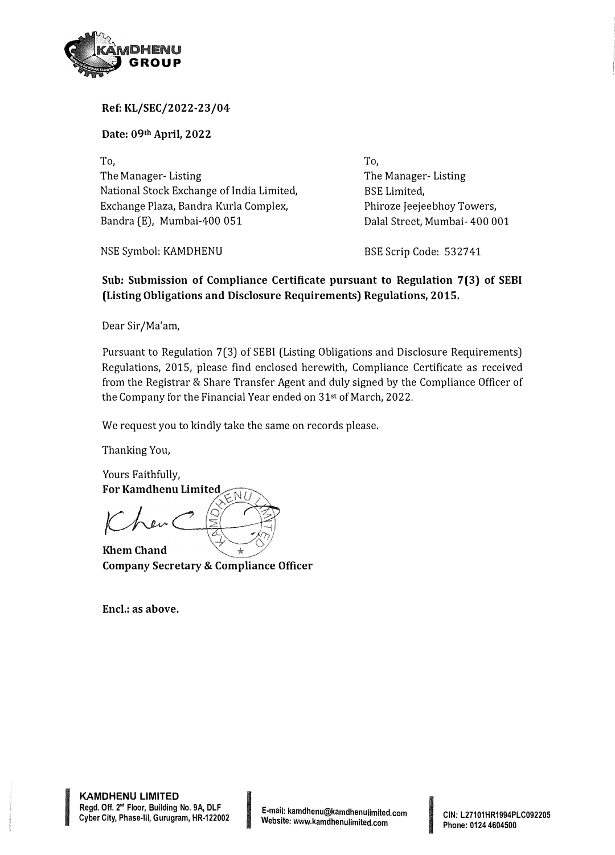

## **Ref: KL/SEC/2022-23/04**

**Date: 09th April, 2022**

To, The Manager- Listing National Stock Exchange of India Limited, Exchange Plaza, Bandra Kurla Complex, Bandra (E), Mumbai-400 051

NSE Symbol: KAMDHENU

To, The Manager- Listing BSE Limited, Phiroze Jeejeebhoy Towers, Dalal Street, Mumbai- 400 001

BSE Scrip Code: 532741

## **Sub: Submission of Compliance Certificate pursuant to Regulation 7(3) of SEBI (Listing Obligations and Disclosure Requirements) Regulations, 2015.**

Dear Sir/Ma'am,

Pursuant to Regulation 7(3) of SEBI (Listing Obligations and Disclosure Requirements) Regulations, 2015, please find enclosed herewith, Compliance Certificate as received from the Registrar & Share Transfer Agent and duly signed by the Compliance Officer of the Company for the Financial Year ended on 31st of March, 2022.

We request you to kindly take the same on records please.

Thanking You,

Yours Faithfully, **For Kamdhenu Limited** 

**Khem Chand Company Secretary & Compliance Officer** 

**Encl.: as above.** 

**INCREASE AND INCOME.** 

Phone: 0124 4604500